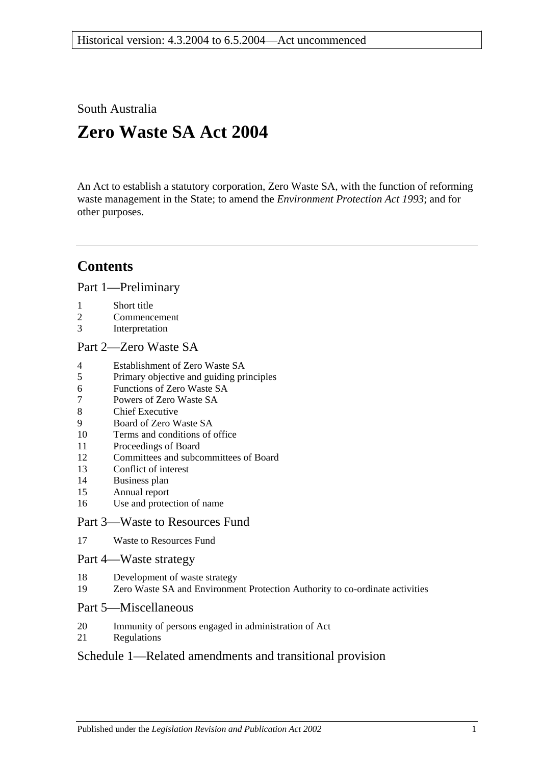South Australia

# **Zero Waste SA Act 2004**

An Act to establish a statutory corporation, Zero Waste SA, with the function of reforming waste management in the State; to amend the *[Environment Protection Act](http://www.legislation.sa.gov.au/index.aspx?action=legref&type=act&legtitle=Environment%20Protection%20Act%201993) 1993*; and for other purposes.

# **Contents**

[Part 1—Preliminary](#page-1-0)

- 1 [Short title](#page-1-1)
- 2 [Commencement](#page-1-2)
- 3 [Interpretation](#page-1-3)

### [Part 2—Zero Waste SA](#page-2-0)

- 4 [Establishment of Zero Waste SA](#page-2-1)
- 5 [Primary objective and guiding principles](#page-2-2)
- 6 [Functions of Zero Waste SA](#page-3-0)
- 7 [Powers of Zero Waste SA](#page-3-1)
- 8 [Chief Executive](#page-3-2)
- 9 [Board of Zero Waste SA](#page-4-0)
- 10 [Terms and conditions of office](#page-4-1)
- 11 [Proceedings of Board](#page-5-0)
- 12 [Committees and subcommittees of Board](#page-6-0)
- 13 [Conflict of interest](#page-6-1)
- 14 [Business plan](#page-6-2)
- 15 [Annual report](#page-7-0)
- 16 [Use and protection of name](#page-7-1)

### [Part 3—Waste to Resources Fund](#page-8-0)

17 [Waste to Resources Fund](#page-8-1)

#### [Part 4—Waste strategy](#page-9-0)

- 18 [Development of waste strategy](#page-9-1)
- 19 [Zero Waste SA and Environment Protection Authority to co-ordinate activities](#page-10-0)

#### [Part 5—Miscellaneous](#page-10-1)

- 20 [Immunity of persons engaged in administration of Act](#page-10-2)
- 21 [Regulations](#page-10-3)

### [Schedule 1—Related amendments and transitional provision](#page-10-4)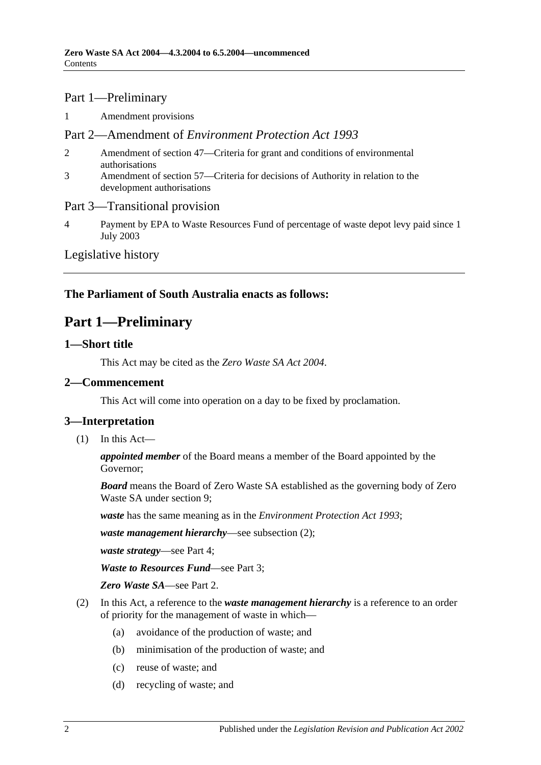#### Part 1—Preliminary

1 [Amendment provisions](#page-10-5)

#### Part 2—Amendment of *Environment Protection Act 1993*

- 2 [Amendment of section 47—Criteria for grant and conditions of environmental](#page-10-6)  [authorisations](#page-10-6)
- 3 [Amendment of section 57—Criteria for decisions of Authority in relation to the](#page-11-0)  [development authorisations](#page-11-0)

#### Part 3—Transitional provision

4 [Payment by EPA to Waste Resources Fund of percentage of waste depot levy paid since 1](#page-11-1)  [July 2003](#page-11-1)

#### [Legislative history](#page-12-0)

## <span id="page-1-0"></span>**The Parliament of South Australia enacts as follows:**

# **Part 1—Preliminary**

#### <span id="page-1-1"></span>**1—Short title**

This Act may be cited as the *Zero Waste SA Act 2004*.

#### <span id="page-1-2"></span>**2—Commencement**

This Act will come into operation on a day to be fixed by proclamation.

#### <span id="page-1-3"></span>**3—Interpretation**

(1) In this Act—

*appointed member* of the Board means a member of the Board appointed by the Governor;

*Board* means the Board of Zero Waste SA established as the governing body of Zero Waste SA under [section](#page-4-0) 9;

*waste* has the same meaning as in the *[Environment Protection Act](http://www.legislation.sa.gov.au/index.aspx?action=legref&type=act&legtitle=Environment%20Protection%20Act%201993) 1993*;

*waste management hierarchy*—see [subsection](#page-1-4) (2);

*waste strategy*—see [Part 4;](#page-9-0)

*Waste to Resources Fund*—see [Part 3;](#page-8-0)

*Zero Waste SA*—see [Part 2.](#page-2-0)

- <span id="page-1-4"></span>(2) In this Act, a reference to the *waste management hierarchy* is a reference to an order of priority for the management of waste in which—
	- (a) avoidance of the production of waste; and
	- (b) minimisation of the production of waste; and
	- (c) reuse of waste; and
	- (d) recycling of waste; and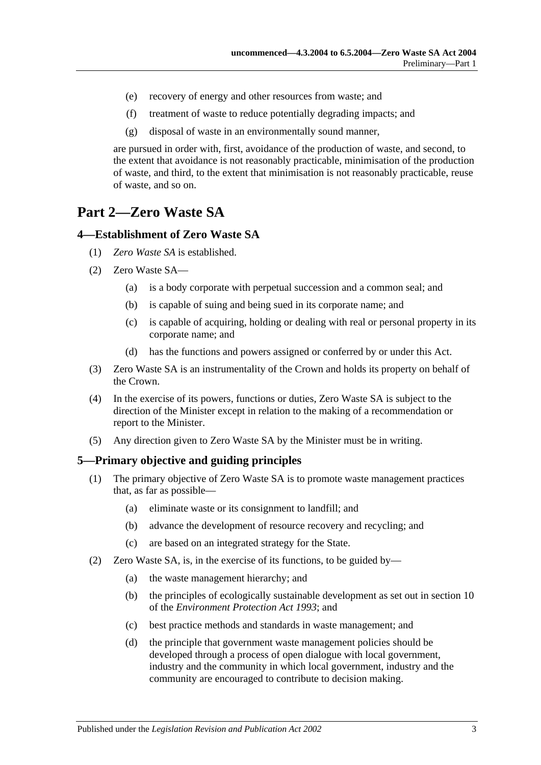- (e) recovery of energy and other resources from waste; and
- (f) treatment of waste to reduce potentially degrading impacts; and
- (g) disposal of waste in an environmentally sound manner,

are pursued in order with, first, avoidance of the production of waste, and second, to the extent that avoidance is not reasonably practicable, minimisation of the production of waste, and third, to the extent that minimisation is not reasonably practicable, reuse of waste, and so on.

# <span id="page-2-0"></span>**Part 2—Zero Waste SA**

#### <span id="page-2-1"></span>**4—Establishment of Zero Waste SA**

- (1) *Zero Waste SA* is established.
- (2) Zero Waste SA—
	- (a) is a body corporate with perpetual succession and a common seal; and
	- (b) is capable of suing and being sued in its corporate name; and
	- (c) is capable of acquiring, holding or dealing with real or personal property in its corporate name; and
	- (d) has the functions and powers assigned or conferred by or under this Act.
- (3) Zero Waste SA is an instrumentality of the Crown and holds its property on behalf of the Crown.
- (4) In the exercise of its powers, functions or duties, Zero Waste SA is subject to the direction of the Minister except in relation to the making of a recommendation or report to the Minister.
- (5) Any direction given to Zero Waste SA by the Minister must be in writing.

### <span id="page-2-2"></span>**5—Primary objective and guiding principles**

- (1) The primary objective of Zero Waste SA is to promote waste management practices that, as far as possible—
	- (a) eliminate waste or its consignment to landfill; and
	- (b) advance the development of resource recovery and recycling; and
	- (c) are based on an integrated strategy for the State.
- (2) Zero Waste SA, is, in the exercise of its functions, to be guided by—
	- (a) the waste management hierarchy; and
	- (b) the principles of ecologically sustainable development as set out in section 10 of the *[Environment Protection Act](http://www.legislation.sa.gov.au/index.aspx?action=legref&type=act&legtitle=Environment%20Protection%20Act%201993) 1993*; and
	- (c) best practice methods and standards in waste management; and
	- (d) the principle that government waste management policies should be developed through a process of open dialogue with local government, industry and the community in which local government, industry and the community are encouraged to contribute to decision making.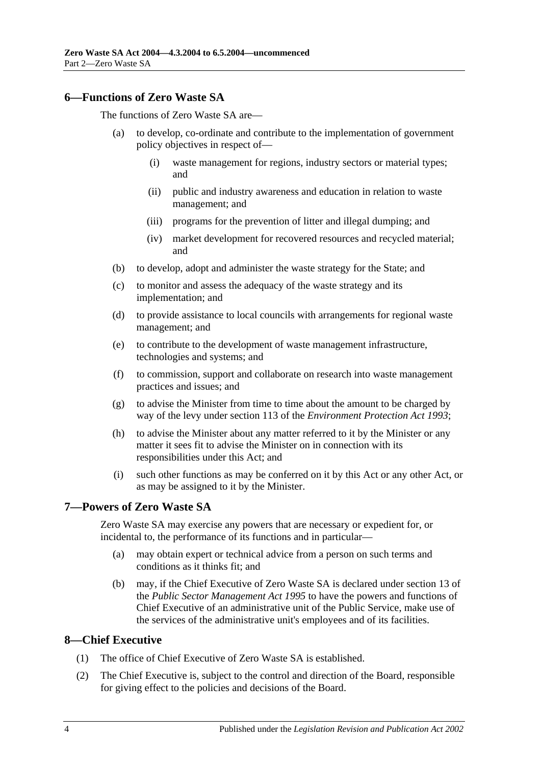### <span id="page-3-0"></span>**6—Functions of Zero Waste SA**

The functions of Zero Waste SA are—

- (a) to develop, co-ordinate and contribute to the implementation of government policy objectives in respect of—
	- (i) waste management for regions, industry sectors or material types; and
	- (ii) public and industry awareness and education in relation to waste management; and
	- (iii) programs for the prevention of litter and illegal dumping; and
	- (iv) market development for recovered resources and recycled material; and
- (b) to develop, adopt and administer the waste strategy for the State; and
- (c) to monitor and assess the adequacy of the waste strategy and its implementation; and
- (d) to provide assistance to local councils with arrangements for regional waste management; and
- (e) to contribute to the development of waste management infrastructure, technologies and systems; and
- (f) to commission, support and collaborate on research into waste management practices and issues; and
- (g) to advise the Minister from time to time about the amount to be charged by way of the levy under section 113 of the *[Environment Protection Act](http://www.legislation.sa.gov.au/index.aspx?action=legref&type=act&legtitle=Environment%20Protection%20Act%201993) 1993*;
- (h) to advise the Minister about any matter referred to it by the Minister or any matter it sees fit to advise the Minister on in connection with its responsibilities under this Act; and
- (i) such other functions as may be conferred on it by this Act or any other Act, or as may be assigned to it by the Minister.

#### <span id="page-3-1"></span>**7—Powers of Zero Waste SA**

Zero Waste SA may exercise any powers that are necessary or expedient for, or incidental to, the performance of its functions and in particular—

- (a) may obtain expert or technical advice from a person on such terms and conditions as it thinks fit; and
- (b) may, if the Chief Executive of Zero Waste SA is declared under section 13 of the *[Public Sector Management Act](http://www.legislation.sa.gov.au/index.aspx?action=legref&type=act&legtitle=Public%20Sector%20Management%20Act%201995) 1995* to have the powers and functions of Chief Executive of an administrative unit of the Public Service, make use of the services of the administrative unit's employees and of its facilities.

#### <span id="page-3-2"></span>**8—Chief Executive**

- (1) The office of Chief Executive of Zero Waste SA is established.
- (2) The Chief Executive is, subject to the control and direction of the Board, responsible for giving effect to the policies and decisions of the Board.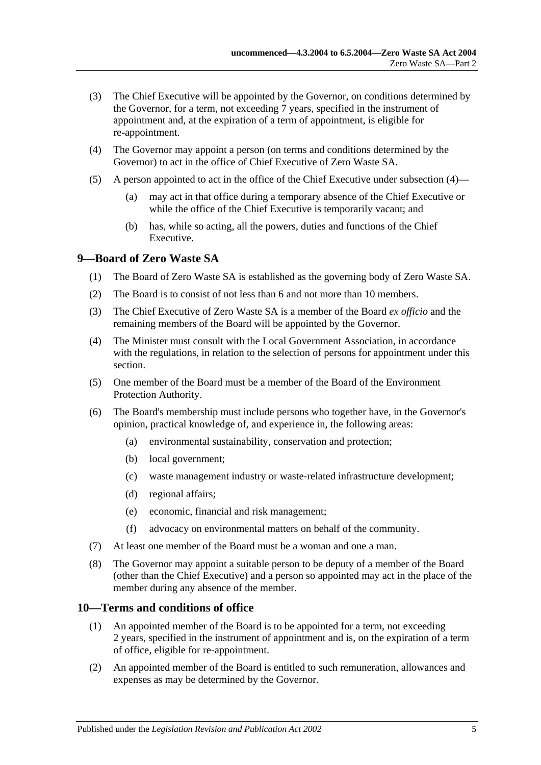- (3) The Chief Executive will be appointed by the Governor, on conditions determined by the Governor, for a term, not exceeding 7 years, specified in the instrument of appointment and, at the expiration of a term of appointment, is eligible for re-appointment.
- <span id="page-4-2"></span>(4) The Governor may appoint a person (on terms and conditions determined by the Governor) to act in the office of Chief Executive of Zero Waste SA.
- (5) A person appointed to act in the office of the Chief Executive under [subsection](#page-4-2) (4)—
	- (a) may act in that office during a temporary absence of the Chief Executive or while the office of the Chief Executive is temporarily vacant; and
	- (b) has, while so acting, all the powers, duties and functions of the Chief Executive.

### <span id="page-4-0"></span>**9—Board of Zero Waste SA**

- (1) The Board of Zero Waste SA is established as the governing body of Zero Waste SA.
- (2) The Board is to consist of not less than 6 and not more than 10 members.
- (3) The Chief Executive of Zero Waste SA is a member of the Board *ex officio* and the remaining members of the Board will be appointed by the Governor.
- (4) The Minister must consult with the Local Government Association, in accordance with the regulations, in relation to the selection of persons for appointment under this section.
- (5) One member of the Board must be a member of the Board of the Environment Protection Authority.
- (6) The Board's membership must include persons who together have, in the Governor's opinion, practical knowledge of, and experience in, the following areas:
	- (a) environmental sustainability, conservation and protection;
	- (b) local government;
	- (c) waste management industry or waste-related infrastructure development;
	- (d) regional affairs;
	- (e) economic, financial and risk management;
	- (f) advocacy on environmental matters on behalf of the community.
- (7) At least one member of the Board must be a woman and one a man.
- (8) The Governor may appoint a suitable person to be deputy of a member of the Board (other than the Chief Executive) and a person so appointed may act in the place of the member during any absence of the member.

#### <span id="page-4-1"></span>**10—Terms and conditions of office**

- (1) An appointed member of the Board is to be appointed for a term, not exceeding 2 years, specified in the instrument of appointment and is, on the expiration of a term of office, eligible for re-appointment.
- (2) An appointed member of the Board is entitled to such remuneration, allowances and expenses as may be determined by the Governor.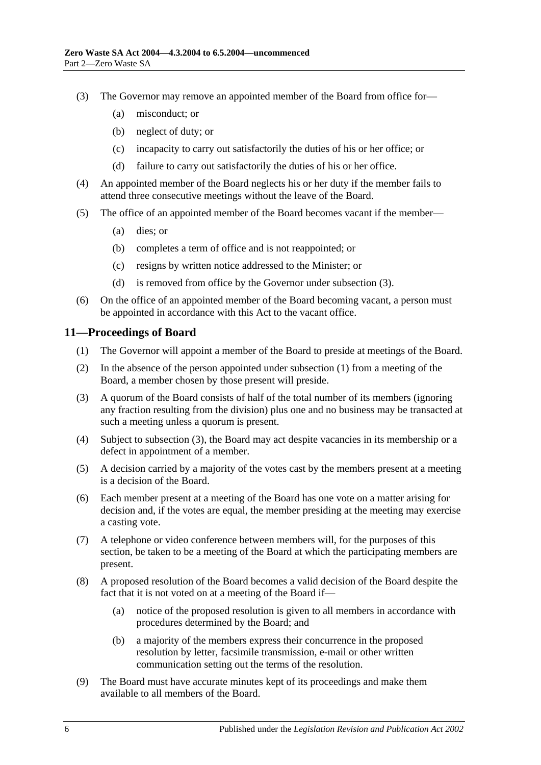- <span id="page-5-1"></span>(3) The Governor may remove an appointed member of the Board from office for—
	- (a) misconduct; or
	- (b) neglect of duty; or
	- (c) incapacity to carry out satisfactorily the duties of his or her office; or
	- (d) failure to carry out satisfactorily the duties of his or her office.
- (4) An appointed member of the Board neglects his or her duty if the member fails to attend three consecutive meetings without the leave of the Board.
- (5) The office of an appointed member of the Board becomes vacant if the member—
	- (a) dies; or
	- (b) completes a term of office and is not reappointed; or
	- (c) resigns by written notice addressed to the Minister; or
	- (d) is removed from office by the Governor under [subsection](#page-5-1) (3).
- (6) On the office of an appointed member of the Board becoming vacant, a person must be appointed in accordance with this Act to the vacant office.

#### <span id="page-5-2"></span><span id="page-5-0"></span>**11—Proceedings of Board**

- (1) The Governor will appoint a member of the Board to preside at meetings of the Board.
- (2) In the absence of the person appointed under [subsection](#page-5-2) (1) from a meeting of the Board, a member chosen by those present will preside.
- <span id="page-5-3"></span>(3) A quorum of the Board consists of half of the total number of its members (ignoring any fraction resulting from the division) plus one and no business may be transacted at such a meeting unless a quorum is present.
- (4) Subject to [subsection](#page-5-3) (3), the Board may act despite vacancies in its membership or a defect in appointment of a member.
- (5) A decision carried by a majority of the votes cast by the members present at a meeting is a decision of the Board.
- (6) Each member present at a meeting of the Board has one vote on a matter arising for decision and, if the votes are equal, the member presiding at the meeting may exercise a casting vote.
- (7) A telephone or video conference between members will, for the purposes of this section, be taken to be a meeting of the Board at which the participating members are present.
- (8) A proposed resolution of the Board becomes a valid decision of the Board despite the fact that it is not voted on at a meeting of the Board if—
	- (a) notice of the proposed resolution is given to all members in accordance with procedures determined by the Board; and
	- (b) a majority of the members express their concurrence in the proposed resolution by letter, facsimile transmission, e-mail or other written communication setting out the terms of the resolution.
- (9) The Board must have accurate minutes kept of its proceedings and make them available to all members of the Board.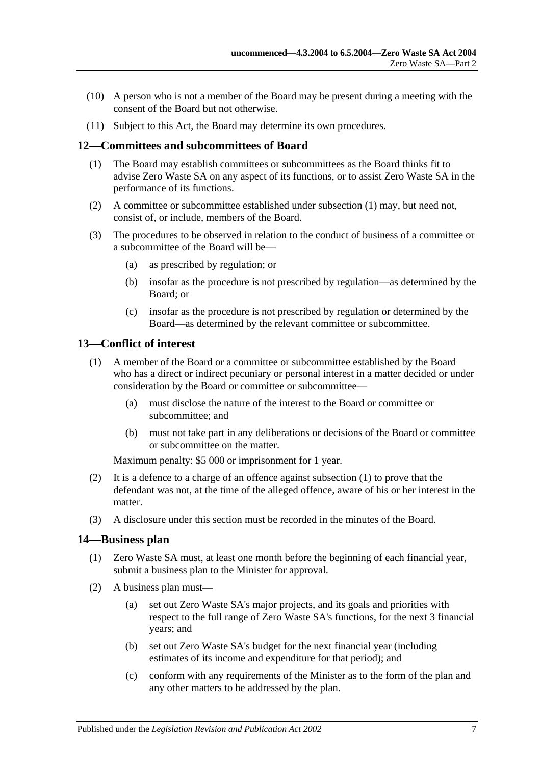- (10) A person who is not a member of the Board may be present during a meeting with the consent of the Board but not otherwise.
- (11) Subject to this Act, the Board may determine its own procedures.

#### <span id="page-6-3"></span><span id="page-6-0"></span>**12—Committees and subcommittees of Board**

- (1) The Board may establish committees or subcommittees as the Board thinks fit to advise Zero Waste SA on any aspect of its functions, or to assist Zero Waste SA in the performance of its functions.
- (2) A committee or subcommittee established under [subsection](#page-6-3) (1) may, but need not, consist of, or include, members of the Board.
- (3) The procedures to be observed in relation to the conduct of business of a committee or a subcommittee of the Board will be—
	- (a) as prescribed by regulation; or
	- (b) insofar as the procedure is not prescribed by regulation—as determined by the Board; or
	- (c) insofar as the procedure is not prescribed by regulation or determined by the Board—as determined by the relevant committee or subcommittee.

#### <span id="page-6-1"></span>**13—Conflict of interest**

- (1) A member of the Board or a committee or subcommittee established by the Board who has a direct or indirect pecuniary or personal interest in a matter decided or under consideration by the Board or committee or subcommittee—
	- (a) must disclose the nature of the interest to the Board or committee or subcommittee; and
	- (b) must not take part in any deliberations or decisions of the Board or committee or subcommittee on the matter.

Maximum penalty: \$5 000 or imprisonment for 1 year.

- (2) It is a defence to a charge of an offence against subsection (1) to prove that the defendant was not, at the time of the alleged offence, aware of his or her interest in the matter.
- (3) A disclosure under this section must be recorded in the minutes of the Board.

#### <span id="page-6-2"></span>**14—Business plan**

- (1) Zero Waste SA must, at least one month before the beginning of each financial year, submit a business plan to the Minister for approval.
- (2) A business plan must—
	- (a) set out Zero Waste SA's major projects, and its goals and priorities with respect to the full range of Zero Waste SA's functions, for the next 3 financial years; and
	- (b) set out Zero Waste SA's budget for the next financial year (including estimates of its income and expenditure for that period); and
	- (c) conform with any requirements of the Minister as to the form of the plan and any other matters to be addressed by the plan.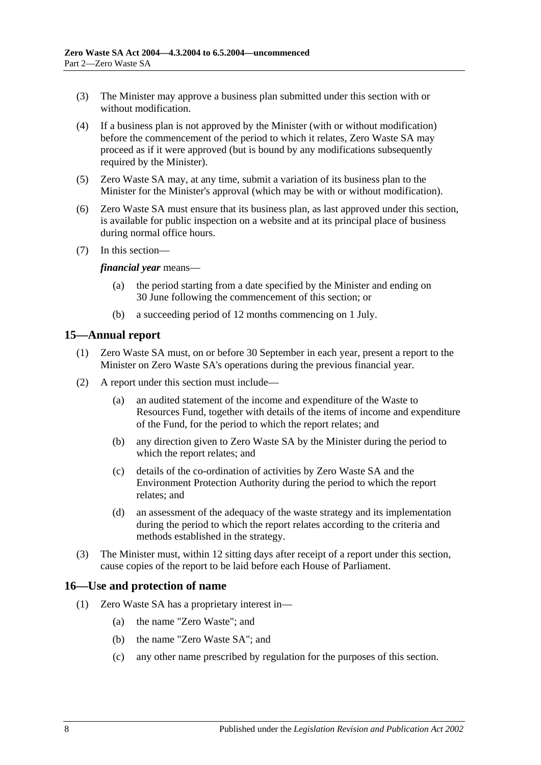- (3) The Minister may approve a business plan submitted under this section with or without modification.
- (4) If a business plan is not approved by the Minister (with or without modification) before the commencement of the period to which it relates, Zero Waste SA may proceed as if it were approved (but is bound by any modifications subsequently required by the Minister).
- (5) Zero Waste SA may, at any time, submit a variation of its business plan to the Minister for the Minister's approval (which may be with or without modification).
- (6) Zero Waste SA must ensure that its business plan, as last approved under this section, is available for public inspection on a website and at its principal place of business during normal office hours.
- (7) In this section—

#### *financial year* means—

- (a) the period starting from a date specified by the Minister and ending on 30 June following the commencement of this section; or
- (b) a succeeding period of 12 months commencing on 1 July.

#### <span id="page-7-0"></span>**15—Annual report**

- (1) Zero Waste SA must, on or before 30 September in each year, present a report to the Minister on Zero Waste SA's operations during the previous financial year.
- (2) A report under this section must include—
	- (a) an audited statement of the income and expenditure of the Waste to Resources Fund, together with details of the items of income and expenditure of the Fund, for the period to which the report relates; and
	- (b) any direction given to Zero Waste SA by the Minister during the period to which the report relates; and
	- (c) details of the co-ordination of activities by Zero Waste SA and the Environment Protection Authority during the period to which the report relates; and
	- (d) an assessment of the adequacy of the waste strategy and its implementation during the period to which the report relates according to the criteria and methods established in the strategy.
- (3) The Minister must, within 12 sitting days after receipt of a report under this section, cause copies of the report to be laid before each House of Parliament.

#### <span id="page-7-1"></span>**16—Use and protection of name**

- (1) Zero Waste SA has a proprietary interest in—
	- (a) the name "Zero Waste"; and
	- (b) the name "Zero Waste SA"; and
	- (c) any other name prescribed by regulation for the purposes of this section.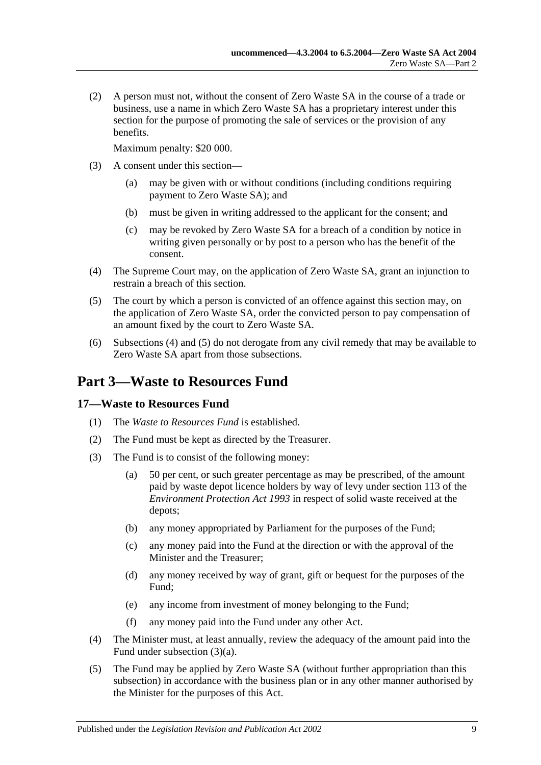(2) A person must not, without the consent of Zero Waste SA in the course of a trade or business, use a name in which Zero Waste SA has a proprietary interest under this section for the purpose of promoting the sale of services or the provision of any benefits.

Maximum penalty: \$20 000.

- (3) A consent under this section—
	- (a) may be given with or without conditions (including conditions requiring payment to Zero Waste SA); and
	- (b) must be given in writing addressed to the applicant for the consent; and
	- (c) may be revoked by Zero Waste SA for a breach of a condition by notice in writing given personally or by post to a person who has the benefit of the consent.
- <span id="page-8-2"></span>(4) The Supreme Court may, on the application of Zero Waste SA, grant an injunction to restrain a breach of this section.
- <span id="page-8-3"></span>(5) The court by which a person is convicted of an offence against this section may, on the application of Zero Waste SA, order the convicted person to pay compensation of an amount fixed by the court to Zero Waste SA.
- (6) [Subsections](#page-8-2) (4) and [\(5\)](#page-8-3) do not derogate from any civil remedy that may be available to Zero Waste SA apart from those subsections.

# <span id="page-8-0"></span>**Part 3—Waste to Resources Fund**

#### <span id="page-8-1"></span>**17—Waste to Resources Fund**

- (1) The *Waste to Resources Fund* is established.
- (2) The Fund must be kept as directed by the Treasurer.
- (3) The Fund is to consist of the following money:
	- (a) 50 per cent, or such greater percentage as may be prescribed, of the amount paid by waste depot licence holders by way of levy under section 113 of the *[Environment Protection Act](http://www.legislation.sa.gov.au/index.aspx?action=legref&type=act&legtitle=Environment%20Protection%20Act%201993) 1993* in respect of solid waste received at the depots;
	- (b) any money appropriated by Parliament for the purposes of the Fund;
	- (c) any money paid into the Fund at the direction or with the approval of the Minister and the Treasurer;
	- (d) any money received by way of grant, gift or bequest for the purposes of the Fund;
	- (e) any income from investment of money belonging to the Fund;
	- (f) any money paid into the Fund under any other Act.
- (4) The Minister must, at least annually, review the adequacy of the amount paid into the Fund under subsection (3)(a).
- (5) The Fund may be applied by Zero Waste SA (without further appropriation than this subsection) in accordance with the business plan or in any other manner authorised by the Minister for the purposes of this Act.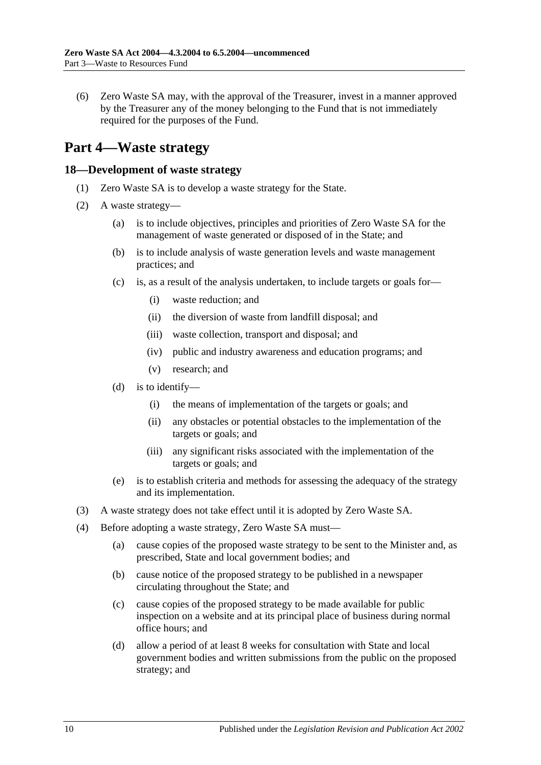(6) Zero Waste SA may, with the approval of the Treasurer, invest in a manner approved by the Treasurer any of the money belonging to the Fund that is not immediately required for the purposes of the Fund.

# <span id="page-9-0"></span>**Part 4—Waste strategy**

#### <span id="page-9-1"></span>**18—Development of waste strategy**

- (1) Zero Waste SA is to develop a waste strategy for the State.
- (2) A waste strategy—
	- (a) is to include objectives, principles and priorities of Zero Waste SA for the management of waste generated or disposed of in the State; and
	- (b) is to include analysis of waste generation levels and waste management practices; and
	- (c) is, as a result of the analysis undertaken, to include targets or goals for—
		- (i) waste reduction; and
		- (ii) the diversion of waste from landfill disposal; and
		- (iii) waste collection, transport and disposal; and
		- (iv) public and industry awareness and education programs; and
		- (v) research; and
	- (d) is to identify—
		- (i) the means of implementation of the targets or goals; and
		- (ii) any obstacles or potential obstacles to the implementation of the targets or goals; and
		- (iii) any significant risks associated with the implementation of the targets or goals; and
	- (e) is to establish criteria and methods for assessing the adequacy of the strategy and its implementation.
- (3) A waste strategy does not take effect until it is adopted by Zero Waste SA.
- (4) Before adopting a waste strategy, Zero Waste SA must—
	- (a) cause copies of the proposed waste strategy to be sent to the Minister and, as prescribed, State and local government bodies; and
	- (b) cause notice of the proposed strategy to be published in a newspaper circulating throughout the State; and
	- (c) cause copies of the proposed strategy to be made available for public inspection on a website and at its principal place of business during normal office hours; and
	- (d) allow a period of at least 8 weeks for consultation with State and local government bodies and written submissions from the public on the proposed strategy; and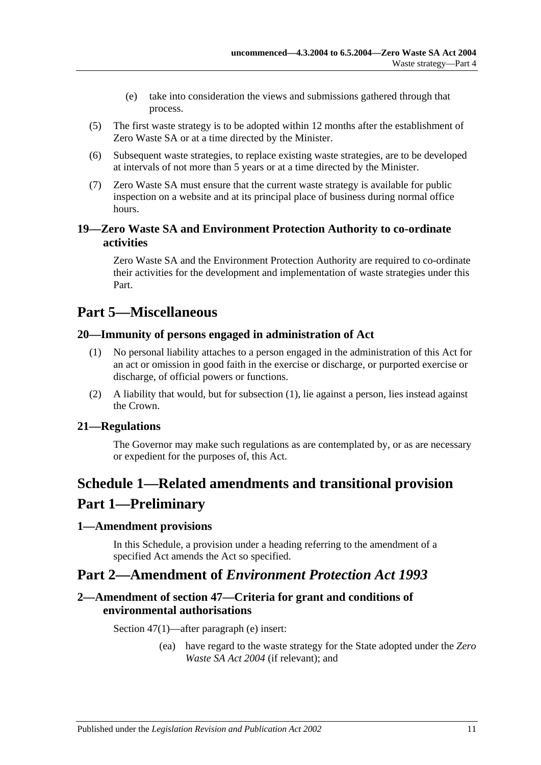- (e) take into consideration the views and submissions gathered through that process.
- (5) The first waste strategy is to be adopted within 12 months after the establishment of Zero Waste SA or at a time directed by the Minister.
- (6) Subsequent waste strategies, to replace existing waste strategies, are to be developed at intervals of not more than 5 years or at a time directed by the Minister.
- (7) Zero Waste SA must ensure that the current waste strategy is available for public inspection on a website and at its principal place of business during normal office hours.

## <span id="page-10-0"></span>**19—Zero Waste SA and Environment Protection Authority to co-ordinate activities**

Zero Waste SA and the Environment Protection Authority are required to co-ordinate their activities for the development and implementation of waste strategies under this Part.

# <span id="page-10-1"></span>**Part 5—Miscellaneous**

## <span id="page-10-7"></span><span id="page-10-2"></span>**20—Immunity of persons engaged in administration of Act**

- (1) No personal liability attaches to a person engaged in the administration of this Act for an act or omission in good faith in the exercise or discharge, or purported exercise or discharge, of official powers or functions.
- (2) A liability that would, but for [subsection](#page-10-7) (1), lie against a person, lies instead against the Crown.

# <span id="page-10-3"></span>**21—Regulations**

The Governor may make such regulations as are contemplated by, or as are necessary or expedient for the purposes of, this Act.

# <span id="page-10-4"></span>**Schedule 1—Related amendments and transitional provision Part 1—Preliminary**

### <span id="page-10-5"></span>**1—Amendment provisions**

In this Schedule, a provision under a heading referring to the amendment of a specified Act amends the Act so specified.

# **Part 2—Amendment of** *Environment Protection Act 1993*

## <span id="page-10-6"></span>**2—Amendment of section 47—Criteria for grant and conditions of environmental authorisations**

Section 47(1)—after paragraph (e) insert:

(ea) have regard to the waste strategy for the State adopted under the *[Zero](http://www.legislation.sa.gov.au/index.aspx?action=legref&type=act&legtitle=Zero%20Waste%20SA%20Act%202004)  [Waste SA Act 2004](http://www.legislation.sa.gov.au/index.aspx?action=legref&type=act&legtitle=Zero%20Waste%20SA%20Act%202004)* (if relevant); and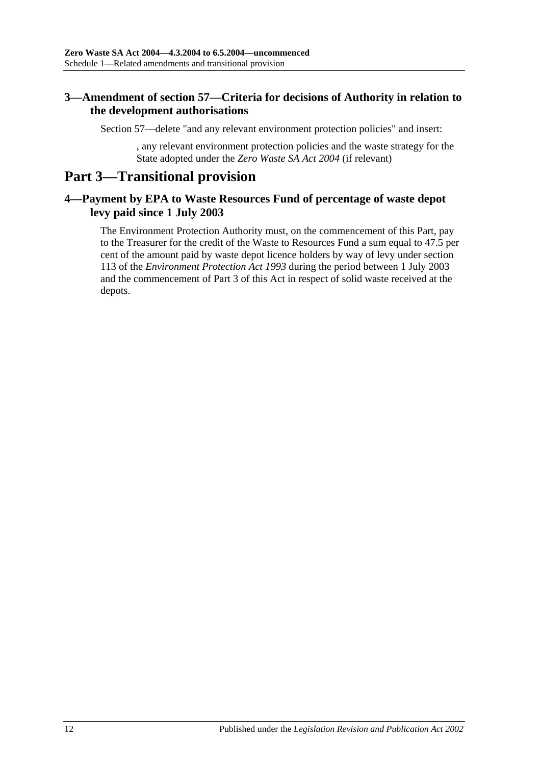# <span id="page-11-0"></span>**3—Amendment of section 57—Criteria for decisions of Authority in relation to the development authorisations**

Section 57—delete "and any relevant environment protection policies" and insert:

, any relevant environment protection policies and the waste strategy for the State adopted under the *[Zero Waste SA Act 2004](http://www.legislation.sa.gov.au/index.aspx?action=legref&type=act&legtitle=Zero%20Waste%20SA%20Act%202004)* (if relevant)

# **Part 3—Transitional provision**

## <span id="page-11-1"></span>**4—Payment by EPA to Waste Resources Fund of percentage of waste depot levy paid since 1 July 2003**

The Environment Protection Authority must, on the commencement of this Part, pay to the Treasurer for the credit of the Waste to Resources Fund a sum equal to 47.5 per cent of the amount paid by waste depot licence holders by way of levy under section 113 of the *[Environment Protection Act](http://www.legislation.sa.gov.au/index.aspx?action=legref&type=act&legtitle=Environment%20Protection%20Act%201993) 1993* during the period between 1 July 2003 and the commencement of Part 3 of this Act in respect of solid waste received at the depots.